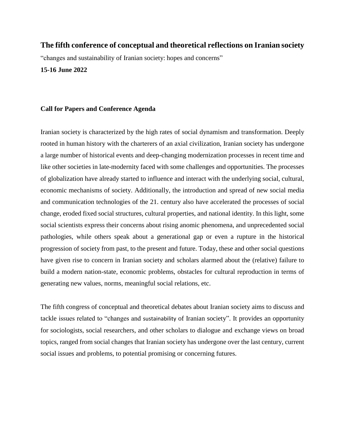# **The fifth conference of conceptual and theoretical reflections on Iranian society**

"changes and sustainability of Iranian society: hopes and concerns"

#### **15-16 June 2022**

#### **Call for Papers and Conference Agenda**

Iranian society is characterized by the high rates of social dynamism and transformation. Deeply rooted in human history with the charterers of an axial civilization, Iranian society has undergone a large number of historical events and deep-changing modernization processes in recent time and like other societies in late-modernity faced with some challenges and opportunities. The processes of globalization have already started to influence and interact with the underlying social, cultural, economic mechanisms of society. Additionally, the introduction and spread of new social media and communication technologies of the 21. century also have accelerated the processes of social change, eroded fixed social structures, cultural properties, and national identity. In this light, some social scientists express their concerns about rising anomic phenomena, and unprecedented social pathologies, while others speak about a generational gap or even a rupture in the historical progression of society from past, to the present and future. Today, these and other social questions have given rise to concern in Iranian society and scholars alarmed about the (relative) failure to build a modern nation-state, economic problems, obstacles for cultural reproduction in terms of generating new values, norms, meaningful social relations, etc.

The fifth congress of conceptual and theoretical debates about Iranian society aims to discuss and tackle issues related to "changes and sustainability of Iranian society". It provides an opportunity for sociologists, social researchers, and other scholars to dialogue and exchange views on broad topics, ranged from social changes that Iranian society has undergone over the last century, current social issues and problems, to potential promising or concerning futures.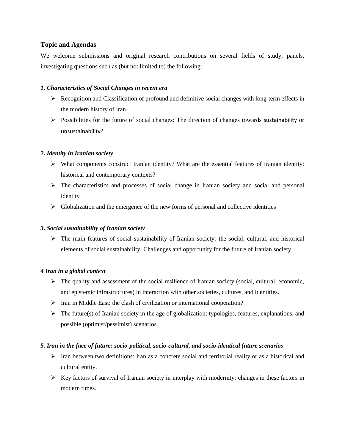# **Topic and Agendas**

We welcome submissions and original research contributions on several fields of study, panels, investigating questions such as (but not limited to) the following:

#### *1. Characteristics of Social Changes in recent era*

- $\triangleright$  Recognition and Classification of profound and definitive social changes with long-term effects in the modern history of Iran.
- $\triangleright$  Possibilities for the future of social changes: The direction of changes towards sustainability or unsustainability?

### *2. Identity in Iranian society*

- What components construct Iranian identity? What are the essential features of Iranian identity: historical and contemporary contexts?
- $\triangleright$  The characteristics and processes of social change in Iranian society and social and personal identity
- $\triangleright$  Globalization and the emergence of the new forms of personal and collective identities

# *3. Social sustainability of Iranian society*

 The main features of social sustainability of Iranian society: the social, cultural, and historical elements of social sustainability: Challenges and opportunity for the future of Iranian society

#### *4 Iran in a global context*

- $\triangleright$  The quality and assessment of the social resilience of Iranian society (social, cultural, economic, and epistemic infrastructures) in interaction with other societies, cultures, and identities.
- $\triangleright$  Iran in Middle East: the clash of civilization or international cooperation?
- $\triangleright$  The future(s) of Iranian society in the age of globalization: typologies, features, explanations, and possible (optimist/pessimist) scenarios.

### *5. Iran in the face of future: socio-political, socio-cultural, and socio-identical future scenarios*

- $\triangleright$  Iran between two definitions: Iran as a concrete social and territorial reality or as a historical and cultural entity.
- $\triangleright$  Key factors of survival of Iranian society in interplay with modernity: changes in these factors in modern times.